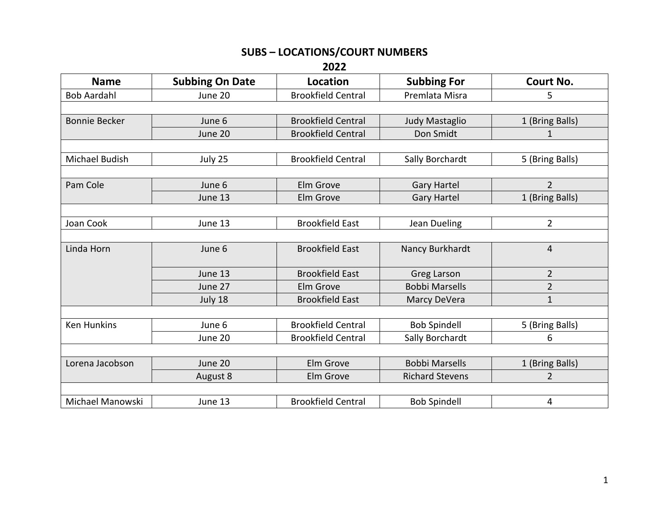## **SUBS – LOCATIONS/COURT NUMBERS**

**2022**

| <b>Name</b>          | <b>Subbing On Date</b> | Location                  | <b>Subbing For</b>     | Court No.       |
|----------------------|------------------------|---------------------------|------------------------|-----------------|
| <b>Bob Aardahl</b>   | June 20                | <b>Brookfield Central</b> | Premlata Misra         | 5               |
|                      |                        |                           |                        |                 |
| <b>Bonnie Becker</b> | June 6                 | <b>Brookfield Central</b> | Judy Mastaglio         | 1 (Bring Balls) |
|                      | June 20                | <b>Brookfield Central</b> | Don Smidt              | $\mathbf{1}$    |
|                      |                        |                           |                        |                 |
| Michael Budish       | July 25                | <b>Brookfield Central</b> | Sally Borchardt        | 5 (Bring Balls) |
|                      |                        |                           |                        |                 |
| Pam Cole             | June 6                 | Elm Grove                 | <b>Gary Hartel</b>     | $\overline{2}$  |
|                      | June 13                | Elm Grove                 | <b>Gary Hartel</b>     | 1 (Bring Balls) |
|                      |                        |                           |                        |                 |
| Joan Cook            | June 13                | <b>Brookfield East</b>    | Jean Dueling           | $\overline{2}$  |
|                      |                        |                           |                        |                 |
| Linda Horn           | June 6                 | <b>Brookfield East</b>    | Nancy Burkhardt        | $\overline{4}$  |
|                      | June 13                | <b>Brookfield East</b>    | <b>Greg Larson</b>     | $\overline{2}$  |
|                      | June 27                | Elm Grove                 | <b>Bobbi Marsells</b>  | $\overline{2}$  |
|                      | July 18                | <b>Brookfield East</b>    | Marcy DeVera           | $\mathbf{1}$    |
|                      |                        |                           |                        |                 |
| <b>Ken Hunkins</b>   | June 6                 | <b>Brookfield Central</b> | <b>Bob Spindell</b>    | 5 (Bring Balls) |
|                      | June 20                | <b>Brookfield Central</b> | Sally Borchardt        | 6               |
|                      |                        |                           |                        |                 |
| Lorena Jacobson      | June 20                | Elm Grove                 | <b>Bobbi Marsells</b>  | 1 (Bring Balls) |
|                      | August 8               | Elm Grove                 | <b>Richard Stevens</b> | $\overline{2}$  |
|                      |                        |                           |                        |                 |
| Michael Manowski     | June 13                | <b>Brookfield Central</b> | <b>Bob Spindell</b>    | 4               |